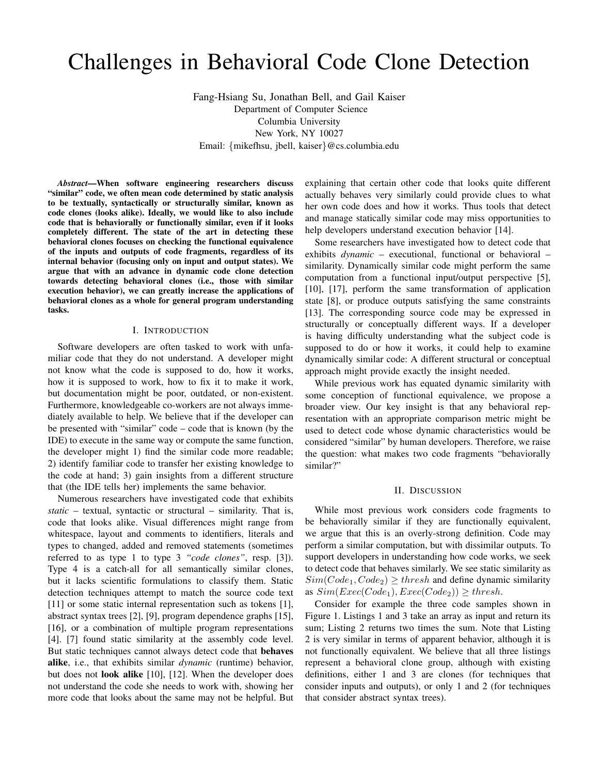# Challenges in Behavioral Code Clone Detection

Fang-Hsiang Su, Jonathan Bell, and Gail Kaiser Department of Computer Science Columbia University New York, NY 10027 Email: {mikefhsu, jbell, kaiser}@cs.columbia.edu

*Abstract*—When software engineering researchers discuss "similar" code, we often mean code determined by static analysis to be textually, syntactically or structurally similar, known as code clones (looks alike). Ideally, we would like to also include code that is behaviorally or functionally similar, even if it looks completely different. The state of the art in detecting these behavioral clones focuses on checking the functional equivalence of the inputs and outputs of code fragments, regardless of its internal behavior (focusing only on input and output states). We argue that with an advance in dynamic code clone detection towards detecting behavioral clones (i.e., those with similar execution behavior), we can greatly increase the applications of behavioral clones as a whole for general program understanding tasks.

### I. INTRODUCTION

Software developers are often tasked to work with unfamiliar code that they do not understand. A developer might not know what the code is supposed to do, how it works, how it is supposed to work, how to fix it to make it work, but documentation might be poor, outdated, or non-existent. Furthermore, knowledgeable co-workers are not always immediately available to help. We believe that if the developer can be presented with "similar" code – code that is known (by the IDE) to execute in the same way or compute the same function, the developer might 1) find the similar code more readable; 2) identify familiar code to transfer her existing knowledge to the code at hand; 3) gain insights from a different structure that (the IDE tells her) implements the same behavior.

Numerous researchers have investigated code that exhibits *static* – textual, syntactic or structural – similarity. That is, code that looks alike. Visual differences might range from whitespace, layout and comments to identifiers, literals and types to changed, added and removed statements (sometimes referred to as type 1 to type 3 *"code clones"*, resp. [3]). Type 4 is a catch-all for all semantically similar clones, but it lacks scientific formulations to classify them. Static detection techniques attempt to match the source code text [11] or some static internal representation such as tokens [1], abstract syntax trees [2], [9], program dependence graphs [15], [16], or a combination of multiple program representations [4]. [7] found static similarity at the assembly code level. But static techniques cannot always detect code that behaves alike, i.e., that exhibits similar *dynamic* (runtime) behavior, but does not **look alike** [10], [12]. When the developer does not understand the code she needs to work with, showing her more code that looks about the same may not be helpful. But

explaining that certain other code that looks quite different actually behaves very similarly could provide clues to what her own code does and how it works. Thus tools that detect and manage statically similar code may miss opportunities to help developers understand execution behavior [14].

Some researchers have investigated how to detect code that exhibits *dynamic* – executional, functional or behavioral – similarity. Dynamically similar code might perform the same computation from a functional input/output perspective [5], [10], [17], perform the same transformation of application state [8], or produce outputs satisfying the same constraints [13]. The corresponding source code may be expressed in structurally or conceptually different ways. If a developer is having difficulty understanding what the subject code is supposed to do or how it works, it could help to examine dynamically similar code: A different structural or conceptual approach might provide exactly the insight needed.

While previous work has equated dynamic similarity with some conception of functional equivalence, we propose a broader view. Our key insight is that any behavioral representation with an appropriate comparison metric might be used to detect code whose dynamic characteristics would be considered "similar" by human developers. Therefore, we raise the question: what makes two code fragments "behaviorally similar?"

## II. DISCUSSION

While most previous work considers code fragments to be behaviorally similar if they are functionally equivalent, we argue that this is an overly-strong definition. Code may perform a similar computation, but with dissimilar outputs. To support developers in understanding how code works, we seek to detect code that behaves similarly. We see static similarity as  $Sim(Code_1, Code_2) \geq thresh$  and define dynamic similarity as  $Sim(Exec(Code_1),Exec(Code_2)) \geq thresh.$ 

Consider for example the three code samples shown in Figure 1. Listings 1 and 3 take an array as input and return its sum; Listing 2 returns two times the sum. Note that Listing 2 is very similar in terms of apparent behavior, although it is not functionally equivalent. We believe that all three listings represent a behavioral clone group, although with existing definitions, either 1 and 3 are clones (for techniques that consider inputs and outputs), or only 1 and 2 (for techniques that consider abstract syntax trees).